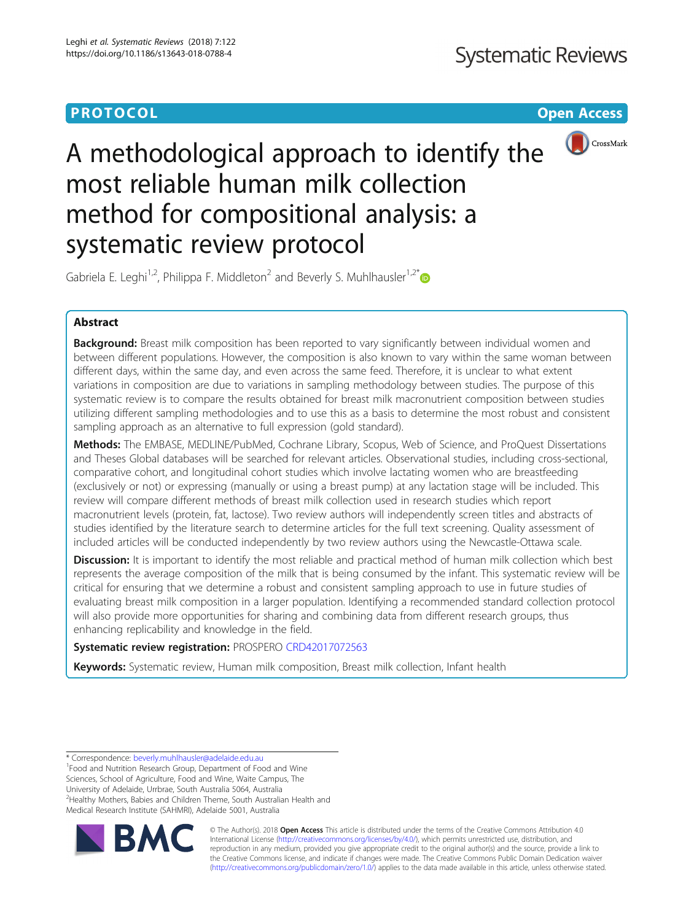# **PROTOCOL CONSUMING THE OPEN ACCESS**



A methodological approach to identify the most reliable human milk collection method for compositional analysis: a systematic review protocol

Gabriela E. Leghi<sup>1,2</sup>, Philippa F. Middleton<sup>2</sup> and Beverly S. Muhlhausler<sup>1,2[\\*](http://orcid.org/0000-0002-9021-6790)</sup>

## Abstract

Background: Breast milk composition has been reported to vary significantly between individual women and between different populations. However, the composition is also known to vary within the same woman between different days, within the same day, and even across the same feed. Therefore, it is unclear to what extent variations in composition are due to variations in sampling methodology between studies. The purpose of this systematic review is to compare the results obtained for breast milk macronutrient composition between studies utilizing different sampling methodologies and to use this as a basis to determine the most robust and consistent sampling approach as an alternative to full expression (gold standard).

Methods: The EMBASE, MEDLINE/PubMed, Cochrane Library, Scopus, Web of Science, and ProQuest Dissertations and Theses Global databases will be searched for relevant articles. Observational studies, including cross-sectional, comparative cohort, and longitudinal cohort studies which involve lactating women who are breastfeeding (exclusively or not) or expressing (manually or using a breast pump) at any lactation stage will be included. This review will compare different methods of breast milk collection used in research studies which report macronutrient levels (protein, fat, lactose). Two review authors will independently screen titles and abstracts of studies identified by the literature search to determine articles for the full text screening. Quality assessment of included articles will be conducted independently by two review authors using the Newcastle-Ottawa scale.

Discussion: It is important to identify the most reliable and practical method of human milk collection which best represents the average composition of the milk that is being consumed by the infant. This systematic review will be critical for ensuring that we determine a robust and consistent sampling approach to use in future studies of evaluating breast milk composition in a larger population. Identifying a recommended standard collection protocol will also provide more opportunities for sharing and combining data from different research groups, thus enhancing replicability and knowledge in the field.

Systematic review registration: PROSPERO [CRD42017072563](https://www.crd.york.ac.uk/prospero/display_record.php?RecordID=72563)

Keywords: Systematic review, Human milk composition, Breast milk collection, Infant health

<sup>1</sup> Food and Nutrition Research Group, Department of Food and Wine Sciences, School of Agriculture, Food and Wine, Waite Campus, The University of Adelaide, Urrbrae, South Australia 5064, Australia <sup>2</sup> Healthy Mothers, Babies and Children Theme, South Australian Health and Medical Research Institute (SAHMRI), Adelaide 5001, Australia



© The Author(s). 2018 Open Access This article is distributed under the terms of the Creative Commons Attribution 4.0 International License [\(http://creativecommons.org/licenses/by/4.0/](http://creativecommons.org/licenses/by/4.0/)), which permits unrestricted use, distribution, and reproduction in any medium, provided you give appropriate credit to the original author(s) and the source, provide a link to the Creative Commons license, and indicate if changes were made. The Creative Commons Public Domain Dedication waiver [\(http://creativecommons.org/publicdomain/zero/1.0/](http://creativecommons.org/publicdomain/zero/1.0/)) applies to the data made available in this article, unless otherwise stated.

<sup>\*</sup> Correspondence: [beverly.muhlhausler@adelaide.edu.au](mailto:beverly.muhlhausler@adelaide.edu.au) <sup>1</sup>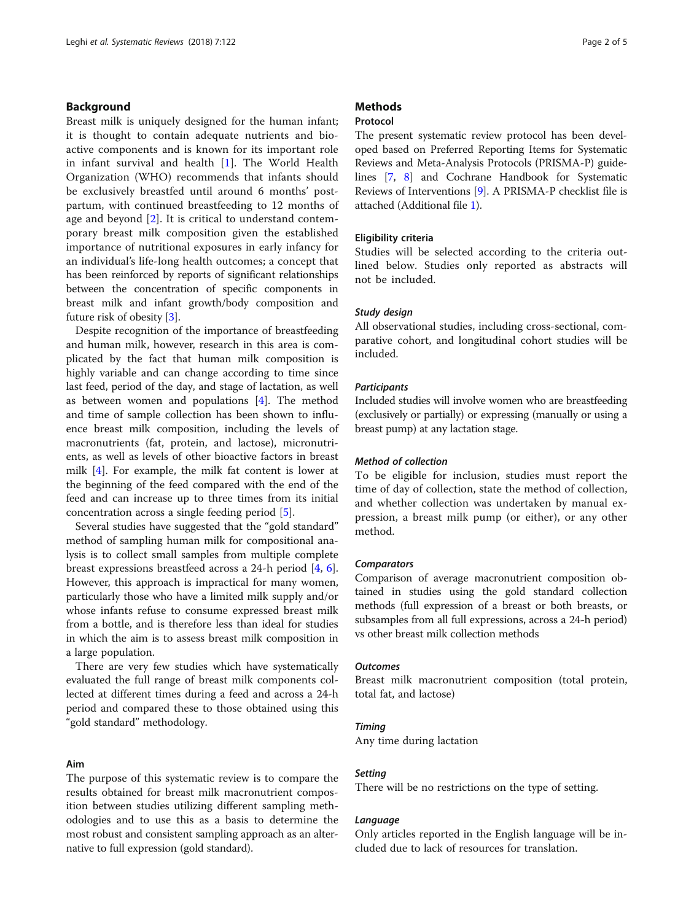## Background

Breast milk is uniquely designed for the human infant; it is thought to contain adequate nutrients and bioactive components and is known for its important role in infant survival and health [[1\]](#page-3-0). The World Health Organization (WHO) recommends that infants should be exclusively breastfed until around 6 months' postpartum, with continued breastfeeding to 12 months of age and beyond [[2\]](#page-3-0). It is critical to understand contemporary breast milk composition given the established importance of nutritional exposures in early infancy for an individual's life-long health outcomes; a concept that has been reinforced by reports of significant relationships between the concentration of specific components in breast milk and infant growth/body composition and future risk of obesity [[3\]](#page-3-0).

Despite recognition of the importance of breastfeeding and human milk, however, research in this area is complicated by the fact that human milk composition is highly variable and can change according to time since last feed, period of the day, and stage of lactation, as well as between women and populations [[4\]](#page-4-0). The method and time of sample collection has been shown to influence breast milk composition, including the levels of macronutrients (fat, protein, and lactose), micronutrients, as well as levels of other bioactive factors in breast milk [\[4](#page-4-0)]. For example, the milk fat content is lower at the beginning of the feed compared with the end of the feed and can increase up to three times from its initial concentration across a single feeding period [[5\]](#page-4-0).

Several studies have suggested that the "gold standard" method of sampling human milk for compositional analysis is to collect small samples from multiple complete breast expressions breastfeed across a 24-h period [[4,](#page-4-0) [6](#page-4-0)]. However, this approach is impractical for many women, particularly those who have a limited milk supply and/or whose infants refuse to consume expressed breast milk from a bottle, and is therefore less than ideal for studies in which the aim is to assess breast milk composition in a large population.

There are very few studies which have systematically evaluated the full range of breast milk components collected at different times during a feed and across a 24-h period and compared these to those obtained using this "gold standard" methodology.

## Aim

The purpose of this systematic review is to compare the results obtained for breast milk macronutrient composition between studies utilizing different sampling methodologies and to use this as a basis to determine the most robust and consistent sampling approach as an alternative to full expression (gold standard).

## **Methods**

## Protocol

The present systematic review protocol has been developed based on Preferred Reporting Items for Systematic Reviews and Meta-Analysis Protocols (PRISMA-P) guidelines [[7,](#page-4-0) [8](#page-4-0)] and Cochrane Handbook for Systematic Reviews of Interventions [[9\]](#page-4-0). A PRISMA-P checklist file is attached (Additional file [1\)](#page-3-0).

#### Eligibility criteria

Studies will be selected according to the criteria outlined below. Studies only reported as abstracts will not be included.

## Study design

All observational studies, including cross-sectional, comparative cohort, and longitudinal cohort studies will be included.

## **Participants**

Included studies will involve women who are breastfeeding (exclusively or partially) or expressing (manually or using a breast pump) at any lactation stage.

## Method of collection

To be eligible for inclusion, studies must report the time of day of collection, state the method of collection, and whether collection was undertaken by manual expression, a breast milk pump (or either), or any other method.

#### **Comparators**

Comparison of average macronutrient composition obtained in studies using the gold standard collection methods (full expression of a breast or both breasts, or subsamples from all full expressions, across a 24-h period) vs other breast milk collection methods

## **Outcomes**

Breast milk macronutrient composition (total protein, total fat, and lactose)

### **Timing**

Any time during lactation

## **Setting**

There will be no restrictions on the type of setting.

## Language

Only articles reported in the English language will be included due to lack of resources for translation.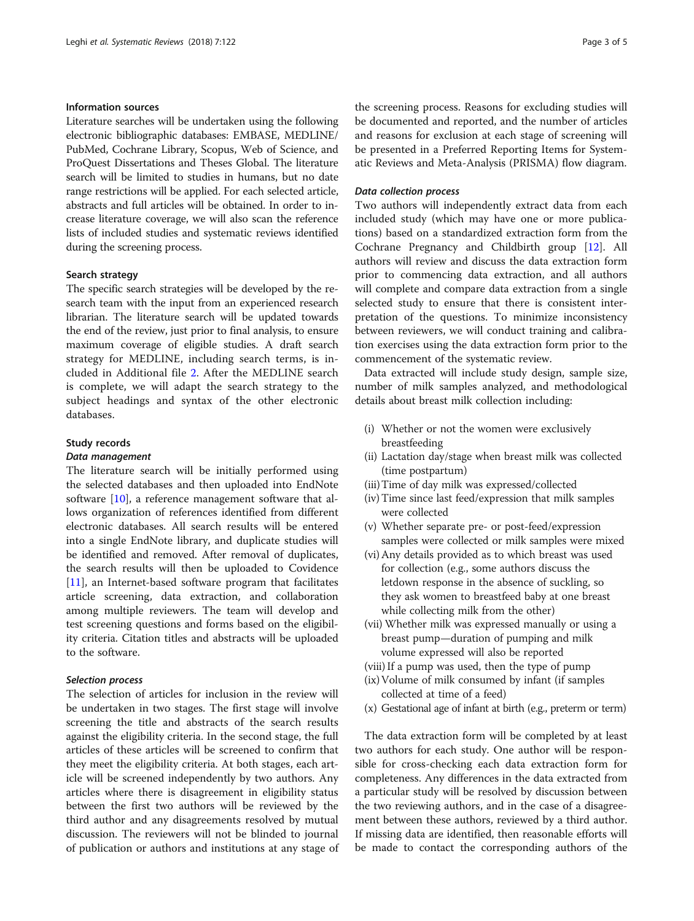## Information sources

Literature searches will be undertaken using the following electronic bibliographic databases: EMBASE, MEDLINE/ PubMed, Cochrane Library, Scopus, Web of Science, and ProQuest Dissertations and Theses Global. The literature search will be limited to studies in humans, but no date range restrictions will be applied. For each selected article, abstracts and full articles will be obtained. In order to increase literature coverage, we will also scan the reference lists of included studies and systematic reviews identified during the screening process.

#### Search strategy

The specific search strategies will be developed by the research team with the input from an experienced research librarian. The literature search will be updated towards the end of the review, just prior to final analysis, to ensure maximum coverage of eligible studies. A draft search strategy for MEDLINE, including search terms, is included in Additional file [2.](#page-3-0) After the MEDLINE search is complete, we will adapt the search strategy to the subject headings and syntax of the other electronic databases.

#### Study records

#### Data management

The literature search will be initially performed using the selected databases and then uploaded into EndNote software [[10\]](#page-4-0), a reference management software that allows organization of references identified from different electronic databases. All search results will be entered into a single EndNote library, and duplicate studies will be identified and removed. After removal of duplicates, the search results will then be uploaded to Covidence [[11\]](#page-4-0), an Internet-based software program that facilitates article screening, data extraction, and collaboration among multiple reviewers. The team will develop and test screening questions and forms based on the eligibility criteria. Citation titles and abstracts will be uploaded to the software.

## Selection process

The selection of articles for inclusion in the review will be undertaken in two stages. The first stage will involve screening the title and abstracts of the search results against the eligibility criteria. In the second stage, the full articles of these articles will be screened to confirm that they meet the eligibility criteria. At both stages, each article will be screened independently by two authors. Any articles where there is disagreement in eligibility status between the first two authors will be reviewed by the third author and any disagreements resolved by mutual discussion. The reviewers will not be blinded to journal of publication or authors and institutions at any stage of the screening process. Reasons for excluding studies will be documented and reported, and the number of articles and reasons for exclusion at each stage of screening will be presented in a Preferred Reporting Items for Systematic Reviews and Meta-Analysis (PRISMA) flow diagram.

## Data collection process

Two authors will independently extract data from each included study (which may have one or more publications) based on a standardized extraction form from the Cochrane Pregnancy and Childbirth group [[12](#page-4-0)]. All authors will review and discuss the data extraction form prior to commencing data extraction, and all authors will complete and compare data extraction from a single selected study to ensure that there is consistent interpretation of the questions. To minimize inconsistency between reviewers, we will conduct training and calibration exercises using the data extraction form prior to the commencement of the systematic review.

Data extracted will include study design, sample size, number of milk samples analyzed, and methodological details about breast milk collection including:

- (i) Whether or not the women were exclusively breastfeeding
- (ii) Lactation day/stage when breast milk was collected (time postpartum)
- (iii)Time of day milk was expressed/collected
- (iv) Time since last feed/expression that milk samples were collected
- (v) Whether separate pre- or post-feed/expression samples were collected or milk samples were mixed
- (vi) Any details provided as to which breast was used for collection (e.g., some authors discuss the letdown response in the absence of suckling, so they ask women to breastfeed baby at one breast while collecting milk from the other)
- (vii) Whether milk was expressed manually or using a breast pump—duration of pumping and milk volume expressed will also be reported
- (viii) If a pump was used, then the type of pump
- (ix)Volume of milk consumed by infant (if samples collected at time of a feed)
- (x) Gestational age of infant at birth (e.g., preterm or term)

The data extraction form will be completed by at least two authors for each study. One author will be responsible for cross-checking each data extraction form for completeness. Any differences in the data extracted from a particular study will be resolved by discussion between the two reviewing authors, and in the case of a disagreement between these authors, reviewed by a third author. If missing data are identified, then reasonable efforts will be made to contact the corresponding authors of the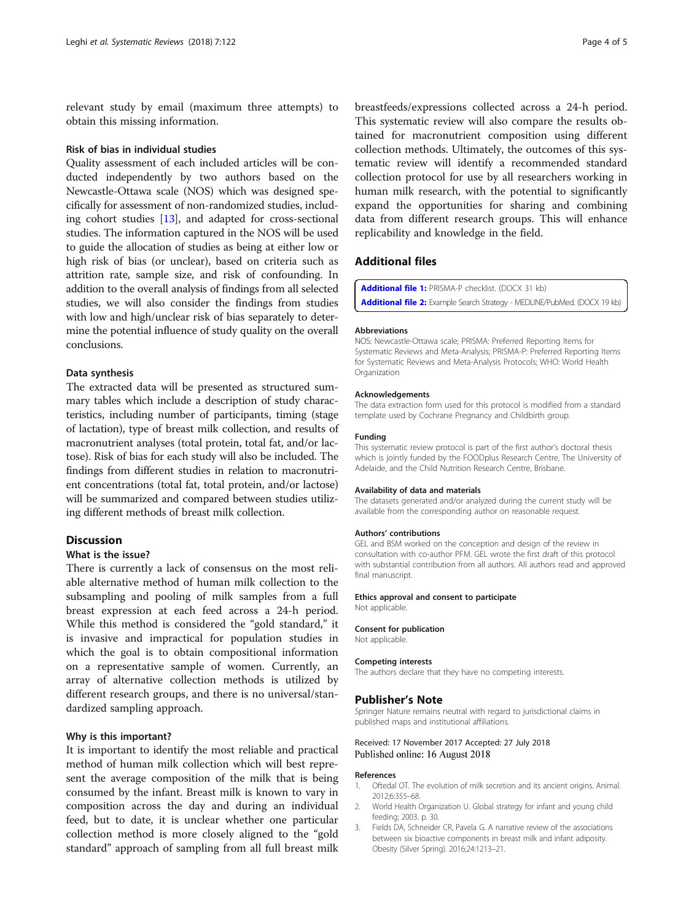<span id="page-3-0"></span>relevant study by email (maximum three attempts) to obtain this missing information.

#### Risk of bias in individual studies

Quality assessment of each included articles will be conducted independently by two authors based on the Newcastle-Ottawa scale (NOS) which was designed specifically for assessment of non-randomized studies, including cohort studies [\[13\]](#page-4-0), and adapted for cross-sectional studies. The information captured in the NOS will be used to guide the allocation of studies as being at either low or high risk of bias (or unclear), based on criteria such as attrition rate, sample size, and risk of confounding. In addition to the overall analysis of findings from all selected studies, we will also consider the findings from studies with low and high/unclear risk of bias separately to determine the potential influence of study quality on the overall conclusions.

## Data synthesis

The extracted data will be presented as structured summary tables which include a description of study characteristics, including number of participants, timing (stage of lactation), type of breast milk collection, and results of macronutrient analyses (total protein, total fat, and/or lactose). Risk of bias for each study will also be included. The findings from different studies in relation to macronutrient concentrations (total fat, total protein, and/or lactose) will be summarized and compared between studies utilizing different methods of breast milk collection.

## **Discussion**

## What is the issue?

There is currently a lack of consensus on the most reliable alternative method of human milk collection to the subsampling and pooling of milk samples from a full breast expression at each feed across a 24-h period. While this method is considered the "gold standard," it is invasive and impractical for population studies in which the goal is to obtain compositional information on a representative sample of women. Currently, an array of alternative collection methods is utilized by different research groups, and there is no universal/standardized sampling approach.

## Why is this important?

It is important to identify the most reliable and practical method of human milk collection which will best represent the average composition of the milk that is being consumed by the infant. Breast milk is known to vary in composition across the day and during an individual feed, but to date, it is unclear whether one particular collection method is more closely aligned to the "gold standard" approach of sampling from all full breast milk breastfeeds/expressions collected across a 24-h period. This systematic review will also compare the results obtained for macronutrient composition using different collection methods. Ultimately, the outcomes of this systematic review will identify a recommended standard collection protocol for use by all researchers working in human milk research, with the potential to significantly expand the opportunities for sharing and combining data from different research groups. This will enhance replicability and knowledge in the field.

## Additional files

[Additional file 1:](https://doi.org/10.1186/s13643-018-0788-4) PRISMA-P checklist. (DOCX 31 kb) [Additional file 2:](https://doi.org/10.1186/s13643-018-0788-4) Example Search Strategy - MEDLINE/PubMed. (DOCX 19 kb)

#### Abbreviations

NOS: Newcastle-Ottawa scale; PRISMA: Preferred Reporting Items for Systematic Reviews and Meta-Analysis; PRISMA-P: Preferred Reporting Items for Systematic Reviews and Meta-Analysis Protocols; WHO: World Health **Organization** 

#### Acknowledgements

The data extraction form used for this protocol is modified from a standard template used by Cochrane Pregnancy and Childbirth group.

#### Funding

This systematic review protocol is part of the first author's doctoral thesis which is jointly funded by the FOODplus Research Centre, The University of Adelaide, and the Child Nutrition Research Centre, Brisbane.

#### Availability of data and materials

The datasets generated and/or analyzed during the current study will be available from the corresponding author on reasonable request.

#### Authors' contributions

GEL and BSM worked on the conception and design of the review in consultation with co-author PFM. GEL wrote the first draft of this protocol with substantial contribution from all authors. All authors read and approved final manuscript.

## Ethics approval and consent to participate

Not applicable.

#### Consent for publication

Not applicable.

#### Competing interests

The authors declare that they have no competing interests.

#### Publisher's Note

Springer Nature remains neutral with regard to jurisdictional claims in published maps and institutional affiliations.

#### Received: 17 November 2017 Accepted: 27 July 2018 Published online: 16 August 2018

#### References

- 1. Oftedal OT. The evolution of milk secretion and its ancient origins. Animal. 2012;6:355–68.
- 2. World Health Organization U. Global strategy for infant and young child feeding; 2003. p. 30.
- 3. Fields DA, Schneider CR, Pavela G. A narrative review of the associations between six bioactive components in breast milk and infant adiposity. Obesity (Silver Spring). 2016;24:1213–21.